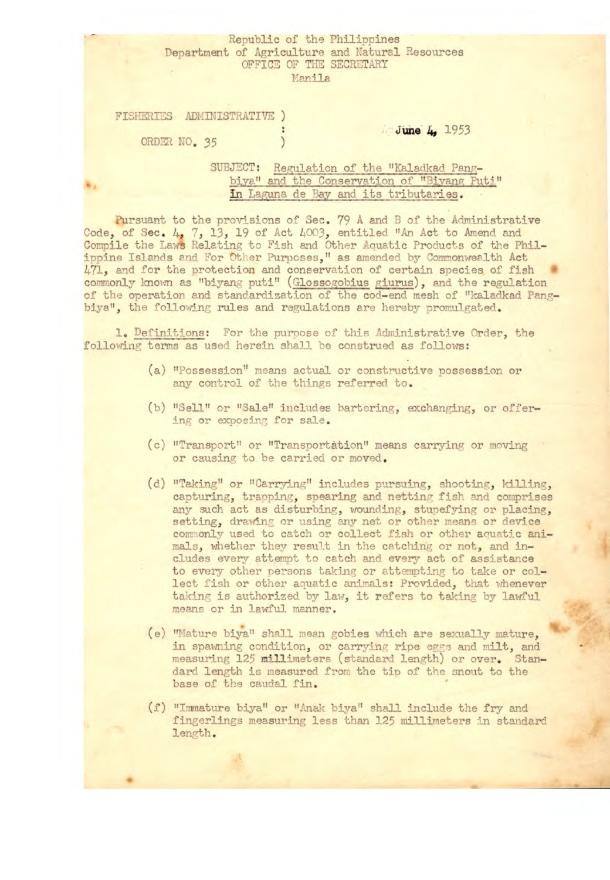### Republic of the Philippines Department of Agriculture and Natural Resources OFFICE OF THE SECRETARY Manila

FISHERTES ADMINISTRATIVE )

ORDEn NO. *35* )

### **June 4, 1953**

## SUBJECT: Regulation of the "Kaladkad Pangbiya" and the Conservation of "Biyang Puti" **In** Laguna de Bay and its tributaries.

Pursuant to the provisions of Sec. 79 A and B of the Administrative Code, of Sec. 4, 7, 13, 19 of Act 4003, entitled "An Act to Amend and Compile the Laws Relating to Fish and Other Aquatic Products of the Philippine Islands and For Other Purposes," as amended by Commonwealth Act 471, and for the protection and conservation of certain species of fish commonly known as "biyang puti" (Glossogobius giurus), and the regulation of the operation and standardization of the cod-end mesh of "kaladkad Pangbiya", the following rules and regulations are hereby promulgated.

1. Definitions: For the purpose of this Administrative Order, the following terms as used herein shall be construed as follows:

- (a) "Possession" means actual or constructive possession or any control of the things referred to.
- (b) "Sell" or "Sale" includes bartering, exchanging, or offering or exposing for sale.
- (c) "Transport" or "Transportation" means carrying or moving or causing to be carried or moved.
- (d) "Taking" or "Carrying" includes pursuing, shooting, killing, capturing, trapping, spearing and netting fish and comprises any such act as disturbing, wounding, stuefying or placing, setting, drawing or using any net or other means or device comonly used to catch or collect fish or other aquatic animals, whether they result in the catching or not, and includes every attempt to catch and every act of assistance to every other persons taking or attempting to take or collect fish or other aquatic animals: Provided, that whenever taking is authorized by law, it refers to taking by lawful means or in lawful manner.
- (e) "Mature bija" shall mean gobies which are sexually mature, in spawning condition, or carrying ripe eggs and milt, and measuring 125 millimeters (standard length) or over. Standard length is measured from the tip of the snout to the base of the caudal fin.
- (f) "Immature biya" or "Anak biya" shall include the fry and fingerlings measuring less than 125 millimeters in standard length.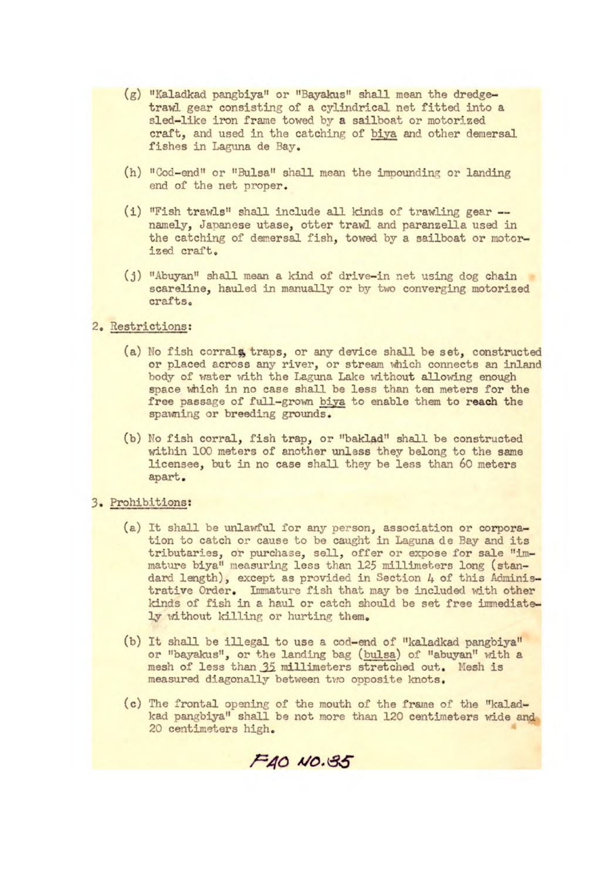- (g) "Kaladkad pangbiy&' or "Bayakus" shall mean the dredgetrawl gear consisting of a cylindrical net fitted into a sled-like iron frame towed by a sailboat or motorized craft, and used in the catching of biya and other demersal fishes in Laguna de Bay.
- (h) "Cod-end" or "Bulsa" shall mean the impounding or landing end of the net proper.
- (i) "Fish trawls" shall include all kinds of trawling gear namely, Japanese utase, otter trawl and paranzella used in the catching of demersal fish, towed by a sailboat or motorized craft.
- (j) "Abuyan" shall mean a kind of drive-in net using dog chain scareline, hauled in manually or by two converging motorized crafts.

# 2, Restrictions:

- (a) No fish corrals, traps, or any device shall be set, constructed or placed across any river, or stream which connects an inland body of water with the Laguna Lake without allowing enough space which in no case shall be less than ten meters for the free passage of full-grown biya to enable them to reach the spawning or breeding grounds.
- (b) No fish corral, fish trap, or "baklad" shall be constructed within 100 meters of another unless they belong to the same licensee, but in no case shall they be less than 60 meters apart.

## 3. Prohibitions:

- (a) It shall be unlawful for any person, association or corporation to catch or cause to be caught in Laguna de Bay and its tributaries, or purchase, sell, offer or expose for sale "immature biya" measuring less than 125 millimeters long (standard length), except as provided in Section 4 of this Administrative Order. Immature fish that may be included with other kinds of fish in a haul or catch should be set free immediately without killing or hurting them.
- (b) It shall be illegal to use a cod-end of "kaladkad pangbiya" or "bayakus", or the landing bag (bulsa) of "abuyan" with a mesh of less than 35 millimeters stretched out. Mesh is measured diagonally between tuo opposite knots.
- (c) The frontal opening of the mouth of the frame of the "kaladkad pangbiya" shall be not more than 120 centimeters wide and 20 centimeters high.

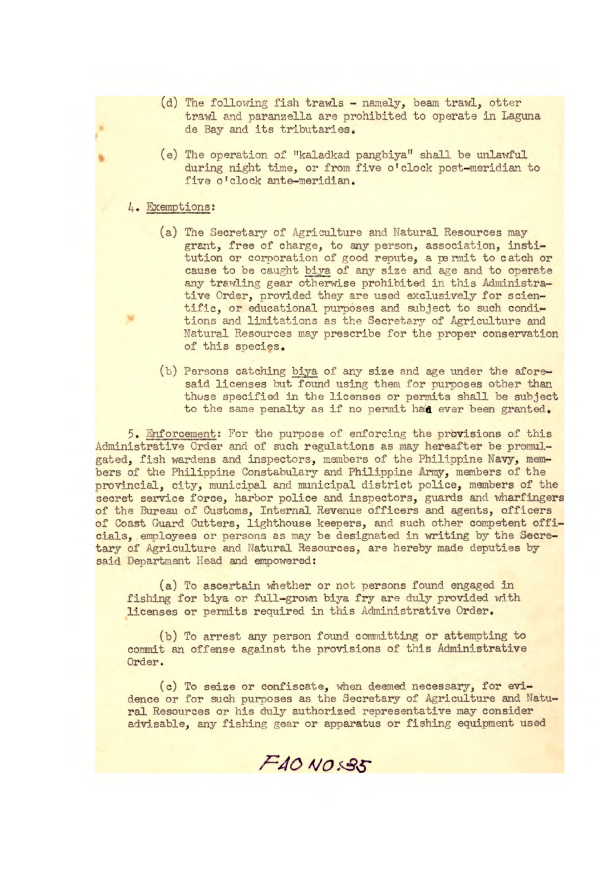- (d) The following fish trawls namely, beam trawl, otter trawl and paranzella are prohibited to operate in Laguna de Bay and its tributaries.
- (e) The operation of "kaladkad pangbiya" shall be unlawful during night time, or from five o'clock post-meridian to five o'clock ante-meridian.

### 4. Exemptions:

- (a) The secretary of Agriculture and Natural Resources may grant, free of charge, to any person, association, institution or corporation of good repute, a permit to catch or cause to be caught biya of any size and age and to operate any trawling gear otherwise prohibited in this Administrative Order, provided they are used exclusively for scientific, or educational purposes and subject to such conditions and limitations as the Secretary of Agriculture and Natural Resources may prescribe for the proper conservation of this species.
- (b) Persons catching biya of any size and age under the aforesaid licenses but found using them for purposes other than those specified in the licenses or permits shall be subject to the same penalty as if no permit had ever been granted.

5. nforcement: For the purpose of enforcing the provisions of this Administrative Order and of such regulations as may hereafter be promulgated, fish wardens and inspectors, members of the Philippine Navy, members of the Philiopine Constabulary and Philippine Army, members of the provincial, city, municipal and municipal district police, members of the secret service force, harbor police and inspectors, guards and wharfingers of the Bureau of Customs, Internal Revenue officers and agents, officers of Coast Guard Cutters, lighthouse keepers, and such other competent officials, employees or persons as may be designated in writing by the Secretary of Agriculture and Natural Resources, are hereby made deputies by said Department Head and empowered:

(a) To ascertain whether or not persons found engaged in fishing for biya or full-grown biya fry are duly provided with licenses or permits required in this Administrative Order.

(b) To arrest any person found committing or attempting to commit an offense against the provisions of this Administrative Order.

**(c) To seize** or confiscate, when deemed necessary, for evidence or for such purposes as the Secretary of Agriculture and Natural Resources or his duly authorized representative may consider advisable, any fishing gear or apparatus or fishing equipment used